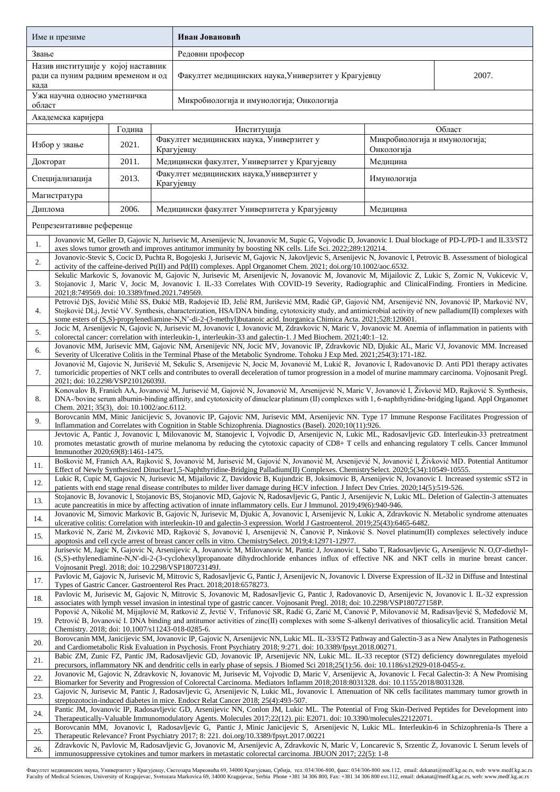| Име и презиме                                                                                                                                                                                                                                                                                  |                                                                                                                                                                                                                                                                                                                                                                                                                                              |        |  | Иван Јовановић                                                                                                                                                                                                                                                                                                                                                                                                                       |                                             |        |  |  |  |  |
|------------------------------------------------------------------------------------------------------------------------------------------------------------------------------------------------------------------------------------------------------------------------------------------------|----------------------------------------------------------------------------------------------------------------------------------------------------------------------------------------------------------------------------------------------------------------------------------------------------------------------------------------------------------------------------------------------------------------------------------------------|--------|--|--------------------------------------------------------------------------------------------------------------------------------------------------------------------------------------------------------------------------------------------------------------------------------------------------------------------------------------------------------------------------------------------------------------------------------------|---------------------------------------------|--------|--|--|--|--|
| Звање                                                                                                                                                                                                                                                                                          |                                                                                                                                                                                                                                                                                                                                                                                                                                              |        |  | Редовни професор                                                                                                                                                                                                                                                                                                                                                                                                                     |                                             |        |  |  |  |  |
| Назив институције у којој наставник<br>ради са пуним радним временом и од<br>када                                                                                                                                                                                                              |                                                                                                                                                                                                                                                                                                                                                                                                                                              |        |  | Факултет медицинских наука, Универзитет у Крагујевцу<br>2007.                                                                                                                                                                                                                                                                                                                                                                        |                                             |        |  |  |  |  |
| Ужа научна односно уметничка<br>област                                                                                                                                                                                                                                                         |                                                                                                                                                                                                                                                                                                                                                                                                                                              |        |  | Микробиологија и имунологија; Онкологија                                                                                                                                                                                                                                                                                                                                                                                             |                                             |        |  |  |  |  |
|                                                                                                                                                                                                                                                                                                | Академска каријера                                                                                                                                                                                                                                                                                                                                                                                                                           |        |  |                                                                                                                                                                                                                                                                                                                                                                                                                                      |                                             |        |  |  |  |  |
|                                                                                                                                                                                                                                                                                                |                                                                                                                                                                                                                                                                                                                                                                                                                                              | Година |  | Институција                                                                                                                                                                                                                                                                                                                                                                                                                          |                                             | Област |  |  |  |  |
|                                                                                                                                                                                                                                                                                                | Избор у звање                                                                                                                                                                                                                                                                                                                                                                                                                                | 2021.  |  | Факултет медицинских наука, Универзитет у<br>Крагујевцу                                                                                                                                                                                                                                                                                                                                                                              | Микробиологија и имунологија;<br>Онкологија |        |  |  |  |  |
| Докторат                                                                                                                                                                                                                                                                                       |                                                                                                                                                                                                                                                                                                                                                                                                                                              | 2011.  |  | Медицински факултет, Универзитет у Крагујевцу<br>Медицина                                                                                                                                                                                                                                                                                                                                                                            |                                             |        |  |  |  |  |
| 2013.<br>Специјализација                                                                                                                                                                                                                                                                       |                                                                                                                                                                                                                                                                                                                                                                                                                                              |        |  | Факултет медицинских наука, Универзитет у<br>Имунологија<br>Крагујевцу                                                                                                                                                                                                                                                                                                                                                               |                                             |        |  |  |  |  |
|                                                                                                                                                                                                                                                                                                | Магистратура                                                                                                                                                                                                                                                                                                                                                                                                                                 |        |  |                                                                                                                                                                                                                                                                                                                                                                                                                                      |                                             |        |  |  |  |  |
| Диплома                                                                                                                                                                                                                                                                                        |                                                                                                                                                                                                                                                                                                                                                                                                                                              | 2006.  |  | Медицински факултет Универзитета у Крагујевцу<br>Медицина                                                                                                                                                                                                                                                                                                                                                                            |                                             |        |  |  |  |  |
|                                                                                                                                                                                                                                                                                                | Репрезентативне референце                                                                                                                                                                                                                                                                                                                                                                                                                    |        |  |                                                                                                                                                                                                                                                                                                                                                                                                                                      |                                             |        |  |  |  |  |
| 1.                                                                                                                                                                                                                                                                                             |                                                                                                                                                                                                                                                                                                                                                                                                                                              |        |  | Jovanovic M, Geller D, Gajovic N, Jurisevic M, Arsenijevic N, Jovanovic M, Supic G, Vojvodic D, Jovanovic I. Dual blockage of PD-L/PD-1 and IL33/ST2<br>axes slows tumor growth and improves antitumor immunity by boosting NK cells. Life Sci. 2022;289:120214.                                                                                                                                                                     |                                             |        |  |  |  |  |
| 2.                                                                                                                                                                                                                                                                                             |                                                                                                                                                                                                                                                                                                                                                                                                                                              |        |  | Jovanovic-Stevic S, Cocic D, Puchta R, Bogojeski J, Jurisevic M, Gajovic N, Jakovljevic S, Arsenijevic N, Jovanovic I, Petrovic B. Assessment of biological<br>activity of the caffeine-derived Pt(II) and Pd(II) complexes. Appl Organomet Chem. 2021; doi.org/10.1002/aoc.6532.                                                                                                                                                    |                                             |        |  |  |  |  |
| 3.                                                                                                                                                                                                                                                                                             | 2021;8:749569. doi: 10.3389/fmed.2021.749569.                                                                                                                                                                                                                                                                                                                                                                                                |        |  | Sekulic Markovic S, Jovanovic M, Gajovic N, Jurisevic M, Arsenijevic N, Jovanovic M, Jovanovic M, Mijailovic Z, Lukic S, Zornic N, Vukicevic V,<br>Stojanovic J, Maric V, Jocic M, Jovanovic I. IL-33 Correlates With COVID-19 Severity, Radiographic and ClinicalFinding. Frontiers in Medicine.                                                                                                                                    |                                             |        |  |  |  |  |
| 4.                                                                                                                                                                                                                                                                                             |                                                                                                                                                                                                                                                                                                                                                                                                                                              |        |  | Petrović DjS, Jovičić Milić SS, Đukić MB, Radojević ID, Jelić RM, Jurišević MM, Radić GP, Gajović NM, Arsenijević NN, Jovanović IP, Marković NV,<br>Stojković DLj, Jevtić VV. Synthesis, characterization, HSA/DNA binding, cytotoxicity study, and antimicrobial activity of new palladium(II) complexes with<br>some esters of (S,S)-propylenediamine-N,N'-di-2-(3-methyl)butanoic acid. Inorganica Chimica Acta. 2021;528:120601. |                                             |        |  |  |  |  |
| 5.                                                                                                                                                                                                                                                                                             |                                                                                                                                                                                                                                                                                                                                                                                                                                              |        |  | Jocic M, Arsenijevic N, Gajovic N, Jurisevic M, Jovanovic I, Jovanovic M, Zdravkovic N, Maric V, Jovanovic M. Anemia of inflammation in patients with                                                                                                                                                                                                                                                                                |                                             |        |  |  |  |  |
| 6.                                                                                                                                                                                                                                                                                             |                                                                                                                                                                                                                                                                                                                                                                                                                                              |        |  | colorectal cancer: correlation with interleukin-1, interleukin-33 and galectin-1. J Med Biochem. 2021;40:1-12.<br>Jovanovic MM, Jurisevic MM, Gajovic NM, Arsenijevic NN, Jocic MV, Jovanovic IP, Zdravkovic ND, Djukic AL, Maric VJ, Jovanovic MM. Increased                                                                                                                                                                        |                                             |        |  |  |  |  |
| 7.                                                                                                                                                                                                                                                                                             | Severity of Ulcerative Colitis in the Terminal Phase of the Metabolic Syndrome. Tohoku J Exp Med. 2021;254(3):171-182.<br>Jovanović M, Gajovic N, Jurišević M, Sekulic S, Arsenijevic N, Jocic M, Jovanović M, Lukić R, Jovanovic I, Radovanovic D. Anti PD1 therapy activates<br>tumoricidic properties of NKT cells and contributes to overall deceleration of tumor progression in a model of murine mammary carcinoma. Vojnosanit Pregl. |        |  |                                                                                                                                                                                                                                                                                                                                                                                                                                      |                                             |        |  |  |  |  |
| 8.                                                                                                                                                                                                                                                                                             | 2021; doi: 10.2298/VSP210126039J.<br>Konovalov B, Franich AA, Jovanović M, Jurisević M, Gajović N, Jovanović M, Arsenijević N, Maric V, Jovanović I, Živković MD, Rajković S. Synthesis,<br>DNA-/bovine serum albumin-binding affinity, and cytotoxicity of dinuclear platinum (II) complexes with 1, 6-naphthyridine-bridging ligand. Appl Organomet                                                                                        |        |  |                                                                                                                                                                                                                                                                                                                                                                                                                                      |                                             |        |  |  |  |  |
| 9.                                                                                                                                                                                                                                                                                             | Chem. 2021; 35(3), doi: 10.1002/aoc.6112.<br>Borovcanin MM, Minic Janicijevic S, Jovanovic IP, Gajovic NM, Jurisevic MM, Arsenijevic NN. Type 17 Immune Response Facilitates Progression of                                                                                                                                                                                                                                                  |        |  |                                                                                                                                                                                                                                                                                                                                                                                                                                      |                                             |        |  |  |  |  |
|                                                                                                                                                                                                                                                                                                | Inflammation and Correlates with Cognition in Stable Schizophrenia. Diagnostics (Basel). 2020;10(11):926.<br>Jevtovic A, Pantic J, Jovanovic I, Milovanovic M, Stanojevic I, Vojvodic D, Arsenijevic N, Lukic ML, Radosavljevic GD. Interleukin-33 pretreatment                                                                                                                                                                              |        |  |                                                                                                                                                                                                                                                                                                                                                                                                                                      |                                             |        |  |  |  |  |
| 10.                                                                                                                                                                                                                                                                                            | promotes metastatic growth of murine melanoma by reducing the cytotoxic capacity of CD8+ T cells and enhancing regulatory T cells. Cancer Immunol<br>Immunother 2020;69(8):1461-1475.<br>Bošković M, Franich AA, Rajković S, Jovanović M, Jurisević M, Gajović N, Jovanović M, Arsenijević N, Jovanović I, Živković MD. Potential Antitumor                                                                                                  |        |  |                                                                                                                                                                                                                                                                                                                                                                                                                                      |                                             |        |  |  |  |  |
| 11.                                                                                                                                                                                                                                                                                            | Effect of Newly Synthesized Dinuclear1,5-Naphthyridine-Bridging Palladium(II) Complexes. ChemistrySelect. 2020;5(34):10549-10555.<br>Lukic R, Cupic M, Gajovic N, Jurisevic M, Mijailovic Z, Davidovic B, Kujundzic B, Joksimovic B, Arsenijevic N, Jovanovic I. Increased systemic sST2 in                                                                                                                                                  |        |  |                                                                                                                                                                                                                                                                                                                                                                                                                                      |                                             |        |  |  |  |  |
| 12.<br>13.                                                                                                                                                                                                                                                                                     |                                                                                                                                                                                                                                                                                                                                                                                                                                              |        |  | patients with end stage renal disease contributes to milder liver damage during HCV infection. J Infect Dev Ctries. 2020;14(5):519-526.<br>Stojanovic B, Jovanovic I, Stojanovic BS, Stojanovic MD, Gajovic N, Radosavljevic G, Pantic J, Arsenijevic N, Lukic ML. Deletion of Galectin-3 attenuates                                                                                                                                 |                                             |        |  |  |  |  |
|                                                                                                                                                                                                                                                                                                | acute pancreatitis in mice by affecting activation of innate inflammatory cells. Eur J Immunol. 2019;49(6):940-946.<br>Jovanovic M, Simovic Markovic B, Gajovic N, Jurisevic M, Djukic A, Jovanovic I, Arsenijevic N, Lukic A, Zdravkovic N. Metabolic syndrome attenuates                                                                                                                                                                   |        |  |                                                                                                                                                                                                                                                                                                                                                                                                                                      |                                             |        |  |  |  |  |
| 14.                                                                                                                                                                                                                                                                                            | ulcerative colitis: Correlation with interleukin-10 and galectin-3 expression. World J Gastroenterol. 2019;25(43):6465-6482.<br>Marković N, Zarić M, Živković MD, Rajković S, Jovanović I, Arsenijević N, Čanović P, Ninković S. Novel platinum(II) complexes selectively induce                                                                                                                                                             |        |  |                                                                                                                                                                                                                                                                                                                                                                                                                                      |                                             |        |  |  |  |  |
| 15.                                                                                                                                                                                                                                                                                            | apoptosis and cell cycle arrest of breast cancer cells in vitro. ChemistrySelect. 2019;4:12971-12977.<br>Jurisevic M, Jagic N, Gajovic N, Arsenijevic A, Jovanovic M, Milovanovic M, Pantic J, Jovanovic I, Sabo T, Radosavljevic G, Arsenijevic N. O,O'-diethyl-                                                                                                                                                                            |        |  |                                                                                                                                                                                                                                                                                                                                                                                                                                      |                                             |        |  |  |  |  |
| 16.                                                                                                                                                                                                                                                                                            | (S,S)-ethylenediamine-N,N'-di-2-(3-cyclohexyl)propanoate dihydrochloride enhances influx of effective NK and NKT cells in murine breast cancer.<br>Vojnosanit Pregl. 2018; doi: 10.2298/VSP180723149J.                                                                                                                                                                                                                                       |        |  |                                                                                                                                                                                                                                                                                                                                                                                                                                      |                                             |        |  |  |  |  |
| 17.                                                                                                                                                                                                                                                                                            | Pavlovic M, Gajovic N, Jurisevic M, Mitrovic S, Radosavljevic G, Pantic J, Arsenijevic N, Jovanovic I. Diverse Expression of IL-32 in Diffuse and Intestinal<br>Types of Gastric Cancer. Gastroenterol Res Pract. 2018;2018:6578273.<br>Pavlovic M, Jurisevic M, Gajovic N, Mitrovic S, Jovanovic M, Radosavljevic G, Pantic J, Radovanovic D, Arsenijevic N, Jovanovic I. IL-32 expression                                                  |        |  |                                                                                                                                                                                                                                                                                                                                                                                                                                      |                                             |        |  |  |  |  |
| 18.                                                                                                                                                                                                                                                                                            | associates with lymph vessel invasion in intestinal type of gastric cancer. Vojnosanit Pregl. 2018; doi: 10.2298/VSP180727158P.<br>Popović A, Nikolić M, Mijajlović M, Ratković Z, Jevtić V, Trifunović SR, Radić G, Zarić M, Canović P, Milovanović M, Radisavljević S, Međedović M,                                                                                                                                                        |        |  |                                                                                                                                                                                                                                                                                                                                                                                                                                      |                                             |        |  |  |  |  |
| 19.                                                                                                                                                                                                                                                                                            | Petrović B, Jovanović I. DNA binding and antitumor activities of zinc(II) complexes with some S-alkenyl derivatives of thiosalicylic acid. Transition Metal<br>Chemistry. 2018; doi: 10.1007/s11243-018-0285-6.                                                                                                                                                                                                                              |        |  |                                                                                                                                                                                                                                                                                                                                                                                                                                      |                                             |        |  |  |  |  |
| 20.                                                                                                                                                                                                                                                                                            | Borovcanin MM, Janicijevic SM, Jovanovic IP, Gajovic N, Arsenijevic NN, Lukic ML. IL-33/ST2 Pathway and Galectin-3 as a New Analytes in Pathogenesis<br>and Cardiometabolic Risk Evaluation in Psychosis. Front Psychiatry 2018; 9:271. doi: 10.3389/fpsyt.2018.00271.<br>Babic ZM, Zunic FZ, Pantic JM, Radosavljevic GD, Jovanovic IP, Arsenijevic NN, Lukic ML. IL-33 receptor (ST2) deficiency downregulates myeloid                     |        |  |                                                                                                                                                                                                                                                                                                                                                                                                                                      |                                             |        |  |  |  |  |
| 21.                                                                                                                                                                                                                                                                                            | precursors, inflammatory NK and dendritic cells in early phase of sepsis. J Biomed Sci 2018;25(1):56. doi: 10.1186/s12929-018-0455-z.<br>Jovanovic M, Gajovic N, Zdravkovic N, Jovanovic M, Jurisevic M, Vojvodic D, Maric V, Arsenijevic A, Jovanovic I. Fecal Galectin-3: A New Promising                                                                                                                                                  |        |  |                                                                                                                                                                                                                                                                                                                                                                                                                                      |                                             |        |  |  |  |  |
| 22.<br>Biomarker for Severity and Progression of Colorectal Carcinoma. Mediators Inflamm 2018;2018:8031328. doi: 10.1155/2018/8031328.<br>Gajovic N, Jurisevic M, Pantic J, Radosavljevic G, Arsenijevic N, Lukic ML, Jovanovic I. Attenuation of NK cells facilitates mammary tumor growth in |                                                                                                                                                                                                                                                                                                                                                                                                                                              |        |  |                                                                                                                                                                                                                                                                                                                                                                                                                                      |                                             |        |  |  |  |  |
| 23.                                                                                                                                                                                                                                                                                            | streptozotocin-induced diabetes in mice. Endocr Relat Cancer 2018; 25(4):493-507.<br>Pantic JM, Jovanovic IP, Radosavljevic GD, Arsenijevic NN, Conlon JM, Lukic ML. The Potential of Frog Skin-Derived Peptides for Development into                                                                                                                                                                                                        |        |  |                                                                                                                                                                                                                                                                                                                                                                                                                                      |                                             |        |  |  |  |  |
| 24.                                                                                                                                                                                                                                                                                            | Therapeutically-Valuable Immunomodulatory Agents. Molecules 2017;22(12). pii: E2071. doi: 10.3390/molecules22122071.<br>Borovcanin MM, Jovanovic I, Radosavljevic G, Pantic J, Minic Janicijevic S, Arsenijevic N, Lukic ML. Interleukin-6 in Schizophrenia-Is There a                                                                                                                                                                       |        |  |                                                                                                                                                                                                                                                                                                                                                                                                                                      |                                             |        |  |  |  |  |
| 25.                                                                                                                                                                                                                                                                                            |                                                                                                                                                                                                                                                                                                                                                                                                                                              |        |  | Therapeutic Relevance? Front Psychiatry 2017; 8: 221. doi.org/10.3389/fpsyt.2017.00221                                                                                                                                                                                                                                                                                                                                               |                                             |        |  |  |  |  |
| 26.                                                                                                                                                                                                                                                                                            | Zdravkovic N, Pavlovic M, Radosavljevic G, Jovanovic M, Arsenijevic A, Zdravkovic N, Maric V, Loncarevic S, Srzentic Z, Jovanovic I. Serum levels of<br>immunosuppressive cytokines and tumor markers in metastatic colorectal carcinoma. JBUON 2017; 22(5): 1-8                                                                                                                                                                             |        |  |                                                                                                                                                                                                                                                                                                                                                                                                                                      |                                             |        |  |  |  |  |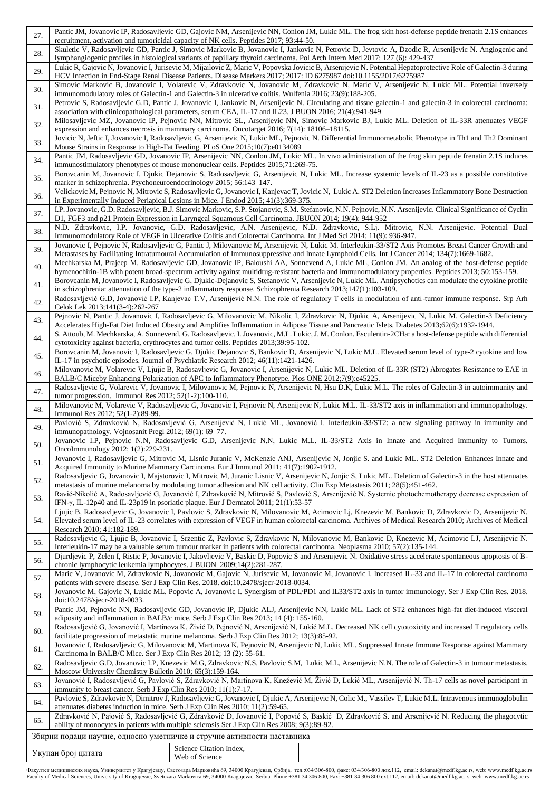| 27. | Pantic JM, Jovanovic IP, Radosavljevic GD, Gajovic NM, Arsenijevic NN, Conlon JM, Lukic ML. The frog skin host-defense peptide frenatin 2.1S enhances<br>recruitment, activation and tumoricidal capacity of NK cells. Peptides 2017; 93:44-50.                                                                                                                                |                                                                                                                   |                                                                                                                                                                                                                                                                                                                  |  |  |  |  |  |  |
|-----|--------------------------------------------------------------------------------------------------------------------------------------------------------------------------------------------------------------------------------------------------------------------------------------------------------------------------------------------------------------------------------|-------------------------------------------------------------------------------------------------------------------|------------------------------------------------------------------------------------------------------------------------------------------------------------------------------------------------------------------------------------------------------------------------------------------------------------------|--|--|--|--|--|--|
| 28. | Skuletic V, Radosavljevic GD, Pantic J, Simovic Markovic B, Jovanovic I, Jankovic N, Petrovic D, Jevtovic A, Dzodic R, Arsenijevic N. Angiogenic and                                                                                                                                                                                                                           |                                                                                                                   |                                                                                                                                                                                                                                                                                                                  |  |  |  |  |  |  |
| 29. | lymphangiogenic profiles in histological variants of papillary thyroid carcinoma. Pol Arch Intern Med 2017; 127 (6): 429-437<br>Lukic R, Gajovic N, Jovanovic I, Jurisevic M, Mijailovic Z, Maric V, Popovska Jovicic B, Arsenijevic N. Potential Hepatoprotective Role of Galectin-3 during                                                                                   |                                                                                                                   |                                                                                                                                                                                                                                                                                                                  |  |  |  |  |  |  |
| 30. | HCV Infection in End-Stage Renal Disease Patients. Disease Markers 2017; 2017: ID 6275987 doi:10.1155/2017/6275987<br>Simovic Markovic B, Jovanovic I, Volarevic V, Zdravkovic N, Jovanovic M, Zdravkovic N, Maric V, Arsenijevic N, Lukic ML. Potential inversely<br>immunomodulatory roles of Galectin-1 and Galectin-3 in ulcerative colitis. Wulfenia 2016; 23(9):188-205. |                                                                                                                   |                                                                                                                                                                                                                                                                                                                  |  |  |  |  |  |  |
| 31. | Petrovic S, Radosavljevic G.D, Pantic J, Jovanovic I, Jankovic N, Arsenijevic N. Circulating and tissue galectin-1 and galectin-3 in colorectal carcinoma:                                                                                                                                                                                                                     |                                                                                                                   |                                                                                                                                                                                                                                                                                                                  |  |  |  |  |  |  |
| 32. | association with clinicopathological parameters, serum CEA, IL-17 and IL23. J BUON 2016; 21(4):941-949<br>Milosavljevic MZ, Jovanovic IP, Pejnovic NN, Mitrovic SL, Arsenijevic NN, Simovic Markovic BJ, Lukic ML. Deletion of IL-33R attenuates VEGF                                                                                                                          |                                                                                                                   |                                                                                                                                                                                                                                                                                                                  |  |  |  |  |  |  |
| 33. | expression and enhances necrosis in mammary carcinoma. Oncotarget 2016; 7(14): 18106–18115.<br>Jovicic N, Jeftic I, Jovanovic I, Radosavljevic G, Arsenijevic N, Lukic ML, Pejnovic N. Differential Immunometabolic Phenotype in Th1 and Th2 Dominant<br>Mouse Strains in Response to High-Fat Feeding. PLoS One 2015;10(7):e0134089                                           |                                                                                                                   |                                                                                                                                                                                                                                                                                                                  |  |  |  |  |  |  |
| 34. |                                                                                                                                                                                                                                                                                                                                                                                | immunostimulatory phenotypes of mouse mononuclear cells. Peptides 2015;71:269-75.                                 | Pantic JM, Radosavljevic GD, Jovanovic IP, Arsenijevic NN, Conlon JM, Lukic ML. In vivo administration of the frog skin peptide frenatin 2.1S induces                                                                                                                                                            |  |  |  |  |  |  |
| 35. | marker in schizophrenia. Psychoneuroendocrinology 2015; 56:143-147.                                                                                                                                                                                                                                                                                                            |                                                                                                                   | Borovcanin M, Jovanovic I, Djukic Dejanovic S, Radosavljevic G, Arsenijevic N, Lukic ML. Increase systemic levels of IL-23 as a possible constitutive                                                                                                                                                            |  |  |  |  |  |  |
| 36. |                                                                                                                                                                                                                                                                                                                                                                                | in Experimentally Induced Periapical Lesions in Mice. J Endod 2015; 41(3):369-375.                                | Velickovic M, Pejnovic N, Mitrovic S, Radosavljevic G, Jovanovic I, Kanjevac T, Jovicic N, Lukic A. ST2 Deletion Increases Inflammatory Bone Destruction                                                                                                                                                         |  |  |  |  |  |  |
| 37. |                                                                                                                                                                                                                                                                                                                                                                                | D1, FGF3 and p21 Protein Expression in Laryngeal Squamous Cell Carcinoma. JBUON 2014; 19(4): 944-952              | I.P. Jovanovic, G.D. Radosavljevic, B.J. Simovic Markovic, S.P. Stojanovic, S.M. Stefanovic, N.N. Pejnovic, N.N. Arsenijevic. Clinical Significance of Cyclin                                                                                                                                                    |  |  |  |  |  |  |
| 38. |                                                                                                                                                                                                                                                                                                                                                                                | Immunomodulatory Role of VEGF in Ulcerative Colitis and Colorectal Carcinoma. Int J Med Sci 2014; 11(9): 936-947. | N.D. Zdravkovic, I.P. Jovanovic, G.D. Radosavljevic, A.N. Arsenijevic, N.D. Zdravkovic, S.Lj. Mitrovic, N.N. Arsenijevic. Potential Dual                                                                                                                                                                         |  |  |  |  |  |  |
| 39. |                                                                                                                                                                                                                                                                                                                                                                                |                                                                                                                   | Jovanovic I, Pejnovic N, Radosavljevic G, Pantic J, Milovanovic M, Arsenijevic N, Lukic M. Interleukin-33/ST2 Axis Promotes Breast Cancer Growth and<br>Metastases by Facilitating Intratumoural Accumulation of Immunosuppressive and Innate Lymphoid Cells. Int J Cancer 2014; 134(7):1669-1682.               |  |  |  |  |  |  |
| 40. |                                                                                                                                                                                                                                                                                                                                                                                |                                                                                                                   | Mechkarska M, Prajeep M, Radosavljevic GD, Jovanovic IP, Baloushi AA, Sonnevend A, Lukic ML, Conlon JM. An analog of the host-defense peptide<br>hymenochirin-1B with potent broad-spectrum activity against multidrug-resistant bacteria and immunomodulatory properties. Peptides 2013; 50:153-159.            |  |  |  |  |  |  |
| 41. |                                                                                                                                                                                                                                                                                                                                                                                | in schizophrenia: attenuation of the type-2 inflammatory response. Schizophrenia Research 2013;147(1):103-109.    | Borovcanin M, Jovanovic I, Radosavljevic G, Djukic-Dejanovic S, Stefanovic V, Arsenijevic N, Lukic ML. Antipsychotics can modulate the cytokine profile                                                                                                                                                          |  |  |  |  |  |  |
| 42. | Celok Lek 2013;141(3-4):262-267                                                                                                                                                                                                                                                                                                                                                |                                                                                                                   | Radosavljević G.D, Jovanović I.P, Kanjevac T.V, Arsenijević N.N. The role of regulatory T cells in modulation of anti-tumor immune response. Srp Arh                                                                                                                                                             |  |  |  |  |  |  |
| 43. | Pejnovic N, Pantic J, Jovanovic I, Radosavljevic G, Milovanovic M, Nikolic I, Zdravkovic N, Djukic A, Arsenijevic N, Lukic M. Galectin-3 Deficiency<br>Accelerates High-Fat Diet Induced Obesity and Amplifies Inflammation in Adipose Tissue and Pancreatic Islets. Diabetes 2013;62(6):1932-1944.                                                                            |                                                                                                                   |                                                                                                                                                                                                                                                                                                                  |  |  |  |  |  |  |
| 44. | S. Attoub, M. Mechkarska, A. Sonnevend, G. Radosavljevic, I. Jovanovic, M.L. Lukic, J. M. Conlon. Esculentin-2CHa: a host-defense peptide with differential<br>cytotoxicity against bacteria, erythrocytes and tumor cells. Peptides 2013;39:95-102.                                                                                                                           |                                                                                                                   |                                                                                                                                                                                                                                                                                                                  |  |  |  |  |  |  |
| 45. | Borovcanin M, Jovanovic I, Radosavljevic G, Djukic Dejanovic S, Bankovic D, Arsenijevic N, Lukic M.L. Elevated serum level of type-2 cytokine and low<br>IL-17 in psychotic episodes. Journal of Psychiatric Research 2012; 46(11):1421-1426.                                                                                                                                  |                                                                                                                   |                                                                                                                                                                                                                                                                                                                  |  |  |  |  |  |  |
| 46. | Milovanovic M, Volarevic V, Ljujic B, Radosavljevic G, Jovanovic I, Arsenijevic N, Lukic ML. Deletion of IL-33R (ST2) Abrogates Resistance to EAE in<br>BALB/C Miceby Enhancing Polarization of APC to Inflammatory Phenotype. Plos ONE 2012;7(9):e45225.                                                                                                                      |                                                                                                                   |                                                                                                                                                                                                                                                                                                                  |  |  |  |  |  |  |
| 47. | Radosavljevic G, Volarevic V, Jovanovic I, Milovanovic M, Pejnovic N, Arsenijevic N, Hsu D.K, Lukic M.L. The roles of Galectin-3 in autoimmunity and<br>tumor progression. Immunol Res $2012$ ; $52(1-2)$ :100-110.                                                                                                                                                            |                                                                                                                   |                                                                                                                                                                                                                                                                                                                  |  |  |  |  |  |  |
| 48. | Milovanovic M, Volarevic V, Radosavljevic G, Jovanovic I, Pejnovic N, Arsenijevic N, Lukic M.L. IL-33/ST2 axis in inflammation and immunopathology.<br>Immunol Res 2012; 52(1-2):89-99.                                                                                                                                                                                        |                                                                                                                   |                                                                                                                                                                                                                                                                                                                  |  |  |  |  |  |  |
| 49. | Pavlović S, Zdravković N, Radosavljević G, Arsenijević N, Lukić ML, Jovanović I. Interleukin-33/ST2: a new signaling pathway in immunity and<br>immunopathology. Vojnosanit Pregl 2012; 69(1): 69-77.<br>Jovanovic I.P, Pejnovic N.N, Radosavljevic G.D, Arsenijevic N.N, Lukic M.L. IL-33/ST2 Axis in Innate and Acquired Immunity to Tumors.                                 |                                                                                                                   |                                                                                                                                                                                                                                                                                                                  |  |  |  |  |  |  |
| 50. | OncoImmunology 2012; 1(2):229-231.                                                                                                                                                                                                                                                                                                                                             |                                                                                                                   |                                                                                                                                                                                                                                                                                                                  |  |  |  |  |  |  |
| 51. |                                                                                                                                                                                                                                                                                                                                                                                | Acquired Immunity to Murine Mammary Carcinoma. Eur J Immunol 2011; 41(7):1902-1912.                               | Jovanovic I, Radosavljevic G, Mitrovic M, Lisnic Juranic V, McKenzie ANJ, Arsenijevic N, Jonjic S. and Lukic ML. ST2 Deletion Enhances Innate and<br>Radosavljevic G, Jovanovic I, Majstorovic I, Mitrovic M, Juranic Lisnic V, Arsenijevic N, Jonjic S, Lukic ML. Deletion of Galectin-3 in the host attenuates |  |  |  |  |  |  |
| 52. |                                                                                                                                                                                                                                                                                                                                                                                |                                                                                                                   | metastasis of murine melanoma by modulating tumor adhesion and NK cell activity. Clin Exp Metastasis 2011; 28(5):451-462.                                                                                                                                                                                        |  |  |  |  |  |  |
| 53. | Ravić-Nikolić A, Radosavljević G, Jovanović I, Zdravković N, Mitrović S, Pavlović S, Arsenijević N. Systemic photochemotherapy decrease expression of<br>IFN- $\gamma$ , IL-12p40 and IL-23p19 in psoriatic plaque. Eur J Dermatol 2011; 21(1):53-57                                                                                                                           |                                                                                                                   |                                                                                                                                                                                                                                                                                                                  |  |  |  |  |  |  |
| 54. | Ljujic B, Radosavljevic G, Jovanovic I, Pavlovic S, Zdravkovic N, Milovanovic M, Acimovic Lj, Knezevic M, Bankovic D, Zdravkovic D, Arsenijevic N.<br>Elevated serum level of IL-23 correlates with expression of VEGF in human colorectal carcinoma. Archives of Medical Research 2010; Archives of Medical                                                                   |                                                                                                                   |                                                                                                                                                                                                                                                                                                                  |  |  |  |  |  |  |
| 55. | Research 2010; 41:182-189.<br>Radosavljevic G, Ljujic B, Jovanovic I, Srzentic Z, Pavlovic S, Zdravkovic N, Milovanovic M, Bankovic D, Knezevic M, Acimovic LJ, Arsenijevic N.<br>Interleukin-17 may be a valuable serum tumour marker in patients with colorectal carcinoma. Neoplasma 2010; 57(2):135-144.                                                                   |                                                                                                                   |                                                                                                                                                                                                                                                                                                                  |  |  |  |  |  |  |
| 56. | Djurdjevic P, Zelen I, Ristic P, Jovanovic I, Jakovljevic V, Baskic D, Popovic S and Arsenijevic N. Oxidative stress accelerate spontaneous apoptosis of B-<br>chronic lymphocytic leukemia lymphocytes. J BUON 2009;14(2):281-287.                                                                                                                                            |                                                                                                                   |                                                                                                                                                                                                                                                                                                                  |  |  |  |  |  |  |
| 57. | Maric V, Jovanovic M, Zdravkovic N, Jovanovic M, Gajovic N, Jurisevic M, Jovanovic M, Jovanovic I. Increased IL-33 and IL-17 in colorectal carcinoma<br>patients with severe disease. Ser J Exp Clin Res. 2018. doi:10.2478/sjecr-2018-0034.                                                                                                                                   |                                                                                                                   |                                                                                                                                                                                                                                                                                                                  |  |  |  |  |  |  |
| 58. | Jovanovic M, Gajovic N, Lukic ML, Popovic A, Jovanovic I. Synergism of PDL/PD1 and IL33/ST2 axis in tumor immunology. Ser J Exp Clin Res. 2018.<br>doi:10.2478/sjecr-2018-0033.                                                                                                                                                                                                |                                                                                                                   |                                                                                                                                                                                                                                                                                                                  |  |  |  |  |  |  |
| 59. | Pantic JM, Pejnovic NN, Radosavljevic GD, Jovanovic IP, Djukic ALJ, Arsenijevic NN, Lukic ML. Lack of ST2 enhances high-fat diet-induced visceral<br>adiposity and inflammation in BALB/c mice. Serb J Exp Clin Res 2013; 14 (4): 155-160.                                                                                                                                     |                                                                                                                   |                                                                                                                                                                                                                                                                                                                  |  |  |  |  |  |  |
| 60. | Radosavljević G, Jovanović I, Martinova K, Živić D, Pejnović N, Arsenijević N, Lukić M.L. Decreased NK cell cytotoxicity and increased T regulatory cells<br>facilitate progression of metastatic murine melanoma. Serb J Exp Clin Res 2012; 13(3):85-92.                                                                                                                      |                                                                                                                   |                                                                                                                                                                                                                                                                                                                  |  |  |  |  |  |  |
| 61. | Jovanovic I, Radosavljevic G, Milovanovic M, Martinova K, Pejnovic N, Arsenijevic N, Lukic ML. Suppressed Innate Immune Response against Mammary<br>Carcinoma in BALB/C Mice. Ser J Exp Clin Res 2012; 13 (2): 55-61.                                                                                                                                                          |                                                                                                                   |                                                                                                                                                                                                                                                                                                                  |  |  |  |  |  |  |
| 62. | Radosavljevic G.D, Jovanovic I.P, Knezevic M.G, Zdravkovic N.S, Pavlovic S.M, Lukic M.L, Arsenijevic N.N. The role of Galectin-3 in tumour metastasis.<br>Moscow University Chemistry Bulletin 2010; 65(3):159-164.                                                                                                                                                            |                                                                                                                   |                                                                                                                                                                                                                                                                                                                  |  |  |  |  |  |  |
| 63. | Jovanović I, Radosavljević G, Pavlović S, Zdravković N, Martinova K, Knežević M, Živić D, Lukić ML, Arsenijević N. Th-17 cells as novel participant in<br>immunity to breast cancer. Serb J Exp Clin Res $2010$ ; $11(1)$ : 7-17.                                                                                                                                              |                                                                                                                   |                                                                                                                                                                                                                                                                                                                  |  |  |  |  |  |  |
| 64. | Pavlovic S, Zdravkovic N, Dimitrov J, Radosavljevic G, Jovanovic I, Djukic A, Arsenijevic N, Colic M., Vassilev T, Lukic M.L. Intravenous immunoglobulin<br>attenuates diabetes induction in mice. Serb J Exp Clin Res 2010; 11(2):59-65.                                                                                                                                      |                                                                                                                   |                                                                                                                                                                                                                                                                                                                  |  |  |  |  |  |  |
| 65. | Zdravković N, Pajović S, Radosavljević G, Zdravković D, Jovanović I, Popović S, Baskić D, Zdravković S. and Arsenijević N. Reducing the phagocytic<br>ability of monocytes in patients with multiple sclerosis Ser J Exp Clin Res 2008; 9(3):89-92.                                                                                                                            |                                                                                                                   |                                                                                                                                                                                                                                                                                                                  |  |  |  |  |  |  |
|     |                                                                                                                                                                                                                                                                                                                                                                                | Збирни подаци научне, односно уметничке и стручне активности наставника                                           |                                                                                                                                                                                                                                                                                                                  |  |  |  |  |  |  |
|     | Укупан број цитата                                                                                                                                                                                                                                                                                                                                                             | Science Citation Index,<br>Web of Science                                                                         |                                                                                                                                                                                                                                                                                                                  |  |  |  |  |  |  |

| Факултет медицинских наука, Универзитет у Крагујевцу, Светозара Марковића 69, 34000 Крагујевац, Србија, тел.:034/306-800, факс: 034/306-800 лок.112, email: dekanat@medf.kg.ac.rs, web: www.medf.kg.ac.rs         |  |  |  |  |  |  |
|-------------------------------------------------------------------------------------------------------------------------------------------------------------------------------------------------------------------|--|--|--|--|--|--|
| Faculty of Medical Sciences, University of Kragujevac, Svetozara Markovica 69, 34000 Kragujevac, Serbia Phone +381 34 306 800, Fax: +381 34 306 800 ext.112, email: dekanat@medf.kg.ac.rs, web: www.medf.kg.ac.rs |  |  |  |  |  |  |